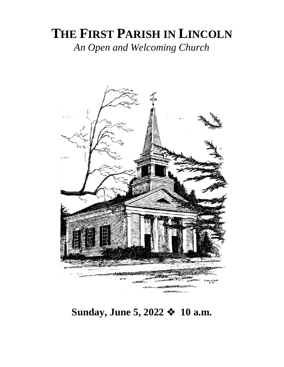## **THE FIRST PARISH IN LINCOLN** *An Open and Welcoming Church*



**Sunday, June 5, 2022** ❖ **10 a.m.**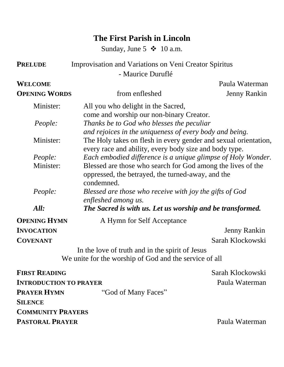## **The First Parish in Lincoln**

Sunday, June 5  $\div$  10 a.m.

| <b>PRELUDE</b>                | Improvisation and Variations on Veni Creator Spiritus                                                                          |                     |  |
|-------------------------------|--------------------------------------------------------------------------------------------------------------------------------|---------------------|--|
|                               | - Maurice Duruflé                                                                                                              |                     |  |
| <b>WELCOME</b>                |                                                                                                                                | Paula Waterman      |  |
| <b>OPENING WORDS</b>          | from enfleshed                                                                                                                 | <b>Jenny Rankin</b> |  |
| Minister:                     | All you who delight in the Sacred,<br>come and worship our non-binary Creator.                                                 |                     |  |
| People:                       | Thanks be to God who blesses the peculiar<br>and rejoices in the uniqueness of every body and being.                           |                     |  |
| Minister:                     | The Holy takes on flesh in every gender and sexual orientation,<br>every race and ability, every body size and body type.      |                     |  |
| <i>People:</i>                | Each embodied difference is a unique glimpse of Holy Wonder.                                                                   |                     |  |
| Minister:                     | Blessed are those who search for God among the lives of the<br>oppressed, the betrayed, the turned-away, and the<br>condemned. |                     |  |
| People:                       | Blessed are those who receive with joy the gifts of God<br>enfleshed among us.                                                 |                     |  |
| All:                          | The Sacred is with us. Let us worship and be transformed.                                                                      |                     |  |
| <b>OPENING HYMN</b>           | A Hymn for Self Acceptance                                                                                                     |                     |  |
| <b>INVOCATION</b>             |                                                                                                                                | <b>Jenny Rankin</b> |  |
| <b>COVENANT</b>               |                                                                                                                                | Sarah Klockowski    |  |
|                               | In the love of truth and in the spirit of Jesus                                                                                |                     |  |
|                               | We unite for the worship of God and the service of all                                                                         |                     |  |
| <b>FIRST READING</b>          |                                                                                                                                | Sarah Klockowski    |  |
| <b>INTRODUCTION TO PRAYER</b> |                                                                                                                                | Paula Waterman      |  |
| <b>PRAYER HYMN</b>            | "God of Many Faces"                                                                                                            |                     |  |
| <b>SILENCE</b>                |                                                                                                                                |                     |  |
| <b>COMMUNITY PRAYERS</b>      |                                                                                                                                |                     |  |
| <b>PASTORAL PRAYER</b>        |                                                                                                                                | Paula Waterman      |  |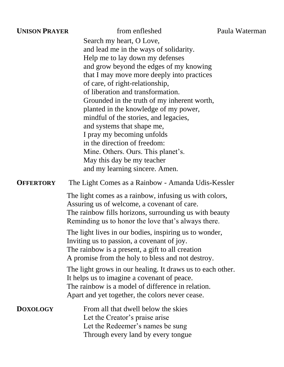| <b>UNISON PRAYER</b> | from enfleshed                                                                                                                                                                                                                                                                                                                                                                                                                                                                                                                                                                                            | Paula Wa |
|----------------------|-----------------------------------------------------------------------------------------------------------------------------------------------------------------------------------------------------------------------------------------------------------------------------------------------------------------------------------------------------------------------------------------------------------------------------------------------------------------------------------------------------------------------------------------------------------------------------------------------------------|----------|
|                      | Search my heart, O Love,<br>and lead me in the ways of solidarity.<br>Help me to lay down my defenses<br>and grow beyond the edges of my knowing<br>that I may move more deeply into practices<br>of care, of right-relationship,<br>of liberation and transformation.<br>Grounded in the truth of my inherent worth,<br>planted in the knowledge of my power,<br>mindful of the stories, and legacies,<br>and systems that shape me,<br>I pray my becoming unfolds<br>in the direction of freedom:<br>Mine. Others. Ours. This planet's.<br>May this day be my teacher<br>and my learning sincere. Amen. |          |
| <b>OFFERTORY</b>     | The Light Comes as a Rainbow - Amanda Udis-Kessler                                                                                                                                                                                                                                                                                                                                                                                                                                                                                                                                                        |          |
|                      | The light comes as a rainbow, infusing us with colors,<br>Assuring us of welcome, a covenant of care.<br>The rainbow fills horizons, surrounding us with beauty<br>Reminding us to honor the love that's always there.<br>The light lives in our bodies, inspiring us to wonder,<br>Inviting us to passion, a covenant of joy.<br>The rainbow is a present, a gift to all creation<br>A promise from the holy to bless and not destroy.                                                                                                                                                                   |          |
|                      | The light grows in our healing. It draws us to each other.<br>It helps us to imagine a covenant of peace.<br>The rainbow is a model of difference in relation.<br>Apart and yet together, the colors never cease.                                                                                                                                                                                                                                                                                                                                                                                         |          |
| <b>DOXOLOGY</b>      | From all that dwell below the skies<br>Let the Creator's praise arise<br>Let the Redeemer's names be sung<br>Through every land by every tongue                                                                                                                                                                                                                                                                                                                                                                                                                                                           |          |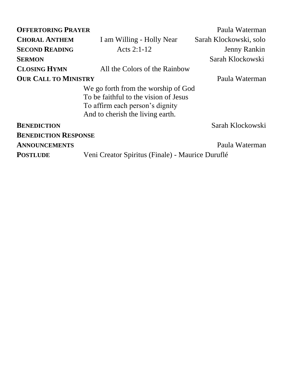| <b>OFFERTORING PRAYER</b>   |                                                  | Paula Waterman         |
|-----------------------------|--------------------------------------------------|------------------------|
| <b>CHORAL ANTHEM</b>        | I am Willing - Holly Near                        | Sarah Klockowski, solo |
| <b>SECOND READING</b>       | Acts $2:1-12$                                    | <b>Jenny Rankin</b>    |
| <b>SERMON</b>               |                                                  | Sarah Klockowski       |
| <b>CLOSING HYMN</b>         | All the Colors of the Rainbow                    |                        |
| <b>OUR CALL TO MINISTRY</b> |                                                  | Paula Waterman         |
|                             | We go forth from the worship of God              |                        |
|                             | To be faithful to the vision of Jesus            |                        |
|                             | To affirm each person's dignity                  |                        |
|                             | And to cherish the living earth.                 |                        |
| <b>BENEDICTION</b>          |                                                  | Sarah Klockowski       |
| <b>BENEDICTION RESPONSE</b> |                                                  |                        |
| <b>ANNOUNCEMENTS</b>        |                                                  | Paula Waterman         |
| <b>POSTLUDE</b>             | Veni Creator Spiritus (Finale) - Maurice Duruflé |                        |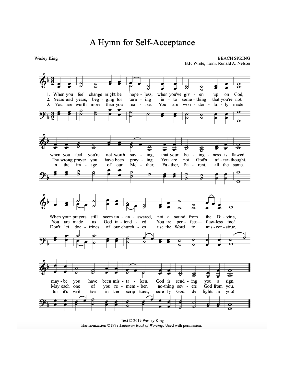## A Hymn for Self-Acceptance

Wesley King

**BEACH SPRING** B.F. White, harm. Ronald A. Nelson



Harmonization ©1978 Lutheran Book of Worship. Used with permission.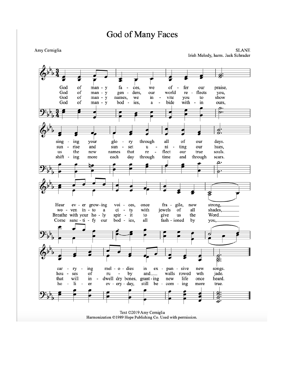## God of Many Faces

Amy Cerniglia

**SLANE** Irish Melody, harm. Jack Schrader



Text ©2019 Amy Cerniglia Harmonization ©1989 Hope Publishing Co. Used with permission.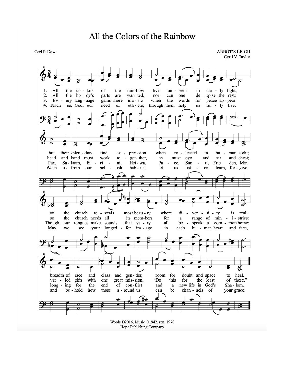Carl P. Daw

**ABBOT'S LEIGH** Cyril V. Taylor